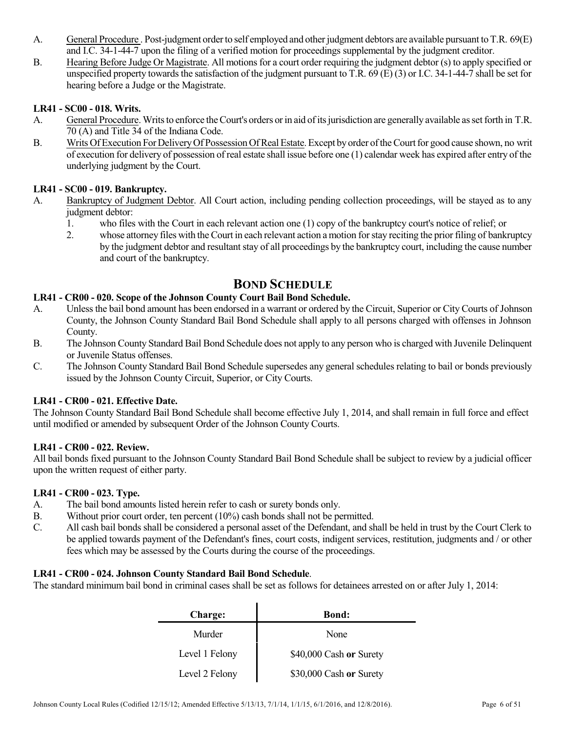- A. General Procedure . Post-judgment order to self employed and other judgment debtors are available pursuant to T.R. 69(E) and I.C. 34-1-44-7 upon the filing of a verified motion for proceedings supplemental by the judgment creditor.
- B. Hearing Before Judge Or Magistrate. All motions for a court order requiring the judgment debtor (s) to apply specified or unspecified property towards the satisfaction of the judgment pursuant to T.R.  $69$  (E) (3) or I.C. 34-1-44-7 shall be set for hearing before a Judge or the Magistrate.

# **LR41 - SC00 - 018. Writs.**

- A. General Procedure. Writs to enforce the Court's orders or in aid of its jurisdiction are generally available as set forth in T.R. 70 (A) and Title 34 of the Indiana Code.
- B. Writs Of Execution For Delivery Of Possession Of Real Estate. Except by order of the Court for good cause shown, no writ of execution for delivery of possession of real estate shall issue before one (1) calendar week has expired after entry of the underlying judgment by the Court.

# **LR41 - SC00 - 019. Bankruptcy.**

- A. Bankruptcy of Judgment Debtor. All Court action, including pending collection proceedings, will be stayed as to any judgment debtor:
	- 1. who files with the Court in each relevant action one (1) copy of the bankruptcy court's notice of relief; or
	- 2. whose attorney files with the Court in each relevant action a motion forstay reciting the prior filing of bankruptcy by the judgment debtor and resultant stay of all proceedings by the bankruptcy court, including the cause number and court of the bankruptcy.

# **BOND SCHEDULE**

# **LR41 - CR00 - 020. Scope of the Johnson County Court Bail Bond Schedule.**

- A. Unlessthe bail bond amount has been endorsed in a warrant or ordered by the Circuit, Superior or CityCourts of Johnson County, the Johnson County Standard Bail Bond Schedule shall apply to all persons charged with offenses in Johnson County.
- B. The Johnson County Standard Bail Bond Schedule does not apply to any person who is charged with Juvenile Delinquent or Juvenile Status offenses.
- C. The Johnson County Standard Bail Bond Schedule supersedes any general schedules relating to bail or bonds previously issued by the Johnson County Circuit, Superior, or City Courts.

#### **LR41 - CR00 - 021. Effective Date.**

The Johnson County Standard Bail Bond Schedule shall become effective July 1, 2014, and shall remain in full force and effect until modified or amended by subsequent Order of the Johnson County Courts.

#### **LR41 - CR00 - 022. Review.**

All bail bonds fixed pursuant to the Johnson County Standard Bail Bond Schedule shall be subject to review by a judicial officer upon the written request of either party.

#### **LR41 - CR00 - 023. Type.**

- A. The bail bond amounts listed herein refer to cash or surety bonds only.
- B. Without prior court order, ten percent (10%) cash bonds shall not be permitted.
- C. All cash bail bonds shall be considered a personal asset of the Defendant, and shall be held in trust by the Court Clerk to be applied towards payment of the Defendant's fines, court costs, indigent services, restitution, judgments and / or other fees which may be assessed by the Courts during the course of the proceedings.

#### **LR41 - CR00 - 024. Johnson County Standard Bail Bond Schedule**.

The standard minimum bail bond in criminal cases shall be set as follows for detainees arrested on or after July 1, 2014:

 $\mathbf{r}$ 

| <b>Charge:</b> | <b>Bond:</b>            |
|----------------|-------------------------|
| Murder         | None                    |
| Level 1 Felony | \$40,000 Cash or Surety |
| Level 2 Felony | \$30,000 Cash or Surety |